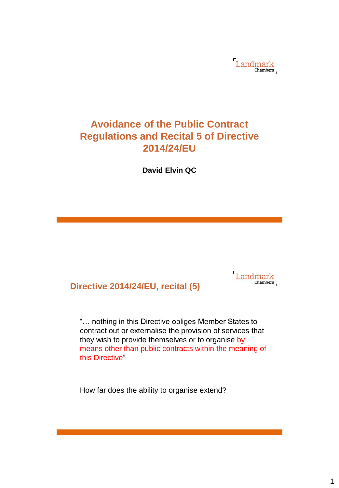

# **Avoidance of the Public Contract Regulations and Recital 5 of Directive 2014/24/EU**

**David Elvin QC**

# **Directive 2014/24/EU, recital (5)**

Landmark

"… nothing in this Directive obliges Member States to contract out or externalise the provision of services that they wish to provide themselves or to organise by means other than public contracts within the meaning of this Directive"

How far does the ability to organise extend?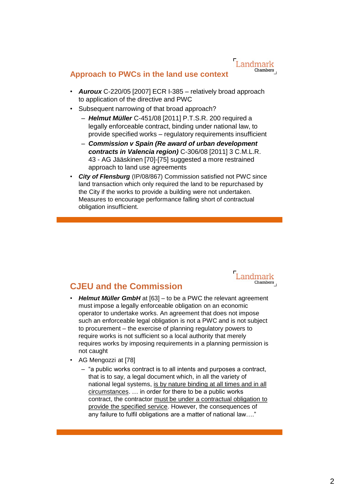#### **Approach to PWCs in the land use context**

- *Auroux* C-220/05 [2007] ECR I-385 relatively broad approach to application of the directive and PWC
- Subsequent narrowing of that broad approach?
	- *Helmut Müller* C-451/08 [2011] P.T.S.R. 200 required a legally enforceable contract, binding under national law, to provide specified works – regulatory requirements insufficient
	- *Commission v Spain (Re award of urban development contracts in Valencia region)* C-306/08 [2011] 3 C.M.L.R. 43 - AG Jääskinen [70]-[75] suggested a more restrained approach to land use agreements
- **City of Flensburg** (IP/08/867) Commission satisfied not PWC since land transaction which only required the land to be repurchased by the City if the works to provide a building were not undertaken. Measures to encourage performance falling short of contractual obligation insufficient.



# **CJEU and the Commission**

- *Helmut Müller GmbH* at [63] to be a PWC the relevant agreement must impose a legally enforceable obligation on an economic operator to undertake works. An agreement that does not impose such an enforceable legal obligation is not a PWC and is not subject to procurement – the exercise of planning regulatory powers to require works is not sufficient so a local authority that merely requires works by imposing requirements in a planning permission is not caught
- AG Mengozzi at [78]
	- "a public works contract is to all intents and purposes a contract, that is to say, a legal document which, in all the variety of national legal systems, is by nature binding at all times and in all circumstances. … in order for there to be a public works contract, the contractor must be under a contractual obligation to provide the specified service. However, the consequences of any failure to fulfil obligations are a matter of national law…."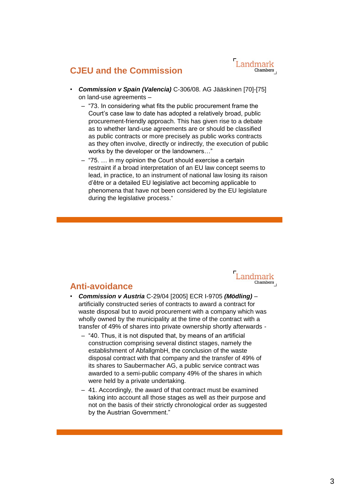Landmark Chambers

# **CJEU and the Commission**

- *Commission v Spain (Valencia)* C-306/08. AG Jääskinen [70]-[75] on land-use agreements –
	- "73. In considering what fits the public procurement frame the Court's case law to date has adopted a relatively broad, public procurement-friendly approach. This has given rise to a debate as to whether land-use agreements are or should be classified as public contracts or more precisely as public works contracts as they often involve, directly or indirectly, the execution of public works by the developer or the landowners…"
	- "75. … in my opinion the Court should exercise a certain restraint if a broad interpretation of an EU law concept seems to lead, in practice, to an instrument of national law losing its raison d'être or a detailed EU legislative act becoming applicable to phenomena that have not been considered by the EU legislature during the legislative process."



### **Anti-avoidance**

- *Commission v Austria* C-29/04 [2005] ECR I-9705 *(Mödling)* artificially constructed series of contracts to award a contract for waste disposal but to avoid procurement with a company which was wholly owned by the municipality at the time of the contract with a transfer of 49% of shares into private ownership shortly afterwards -
	- "40. Thus, it is not disputed that, by means of an artificial construction comprising several distinct stages, namely the establishment of AbfallgmbH, the conclusion of the waste disposal contract with that company and the transfer of 49% of its shares to Saubermacher AG, a public service contract was awarded to a semi-public company 49% of the shares in which were held by a private undertaking.
	- 41. Accordingly, the award of that contract must be examined taking into account all those stages as well as their purpose and not on the basis of their strictly chronological order as suggested by the Austrian Government."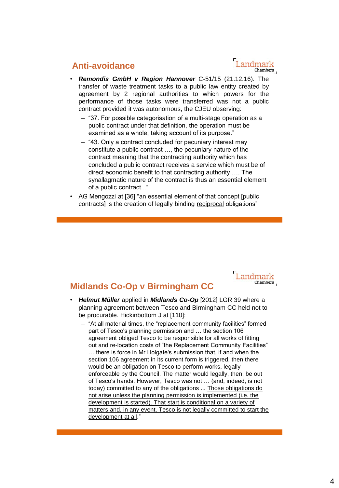## **Anti-avoidance**

- *Remondis GmbH v Region Hannover* C-51/15 (21.12.16). The transfer of waste treatment tasks to a public law entity created by agreement by 2 regional authorities to which powers for the performance of those tasks were transferred was not a public contract provided it was autonomous, the CJEU observing:
	- "37. For possible categorisation of a multi-stage operation as a public contract under that definition, the operation must be examined as a whole, taking account of its purpose."
	- "43. Only a contract concluded for pecuniary interest may constitute a public contract …, the pecuniary nature of the contract meaning that the contracting authority which has concluded a public contract receives a service which must be of direct economic benefit to that contracting authority …. The synallagmatic nature of the contract is thus an essential element of a public contract..."
- AG Mengozzi at [36] "an essential element of that concept [public contracts] is the creation of legally binding reciprocal obligations"

#### Landmark Chambers

## **Midlands Co-Op v Birmingham CC**

- *Helmut Müller* applied in *Midlands Co-Op* [2012] LGR 39 where a planning agreement between Tesco and Birmingham CC held not to be procurable. Hickinbottom J at [110]:
	- "At all material times, the "replacement community facilities" formed part of Tesco's planning permission and … the section 106 agreement obliged Tesco to be responsible for all works of fitting out and re-location costs of "the Replacement Community Facilities" … there is force in Mr Holgate's submission that, if and when the section 106 agreement in its current form is triggered, then there would be an obligation on Tesco to perform works, legally enforceable by the Council. The matter would legally, then, be out of Tesco's hands. However, Tesco was not … (and, indeed, is not today) committed to any of the obligations ... Those obligations do not arise unless the planning permission is implemented (i.e. the development is started). That start is conditional on a variety of matters and, in any event, Tesco is not legally committed to start the development at all."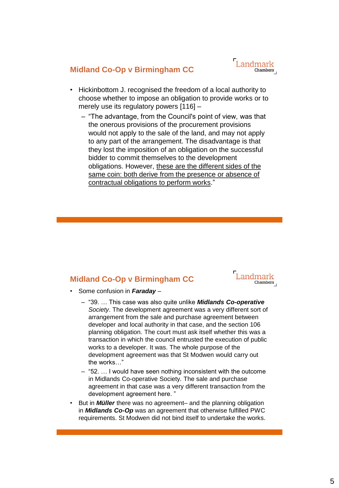

## **Midland Co-Op v Birmingham CC**

- Hickinbottom J. recognised the freedom of a local authority to choose whether to impose an obligation to provide works or to merely use its regulatory powers [116] –
	- "The advantage, from the Council's point of view, was that the onerous provisions of the procurement provisions would not apply to the sale of the land, and may not apply to any part of the arrangement. The disadvantage is that they lost the imposition of an obligation on the successful bidder to commit themselves to the development obligations. However, these are the different sides of the same coin: both derive from the presence or absence of contractual obligations to perform works."

### **Midland Co-Op v Birmingham CC**



- Some confusion in *Faraday* 
	- "39. … This case was also quite unlike *Midlands Co-operative Society*. The development agreement was a very different sort of arrangement from the sale and purchase agreement between developer and local authority in that case, and the section 106 planning obligation. The court must ask itself whether this was a transaction in which the council entrusted the execution of public works to a developer. It was. The whole purpose of the development agreement was that St Modwen would carry out the works…"
	- "52. … I would have seen nothing inconsistent with the outcome in Midlands Co-operative Society. The sale and purchase agreement in that case was a very different transaction from the development agreement here. "
- But in *Müller* there was no agreement– and the planning obligation in *Midlands Co-Op* was an agreement that otherwise fulfilled PWC requirements. St Modwen did not bind itself to undertake the works.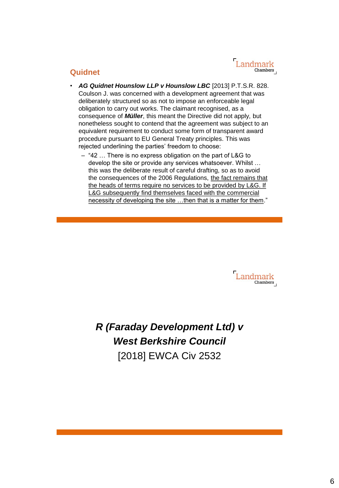## **Quidnet**

- *AG Quidnet Hounslow LLP v Hounslow LBC* [2013] P.T.S.R. 828. Coulson J. was concerned with a development agreement that was deliberately structured so as not to impose an enforceable legal obligation to carry out works. The claimant recognised, as a consequence of *Müller*, this meant the Directive did not apply, but nonetheless sought to contend that the agreement was subject to an equivalent requirement to conduct some form of transparent award procedure pursuant to EU General Treaty principles. This was rejected underlining the parties' freedom to choose:
	- "42 … There is no express obligation on the part of L&G to develop the site or provide any services whatsoever. Whilst … this was the deliberate result of careful drafting, so as to avoid the consequences of the 2006 Regulations, the fact remains that the heads of terms require no services to be provided by L&G. If L&G subsequently find themselves faced with the commercial necessity of developing the site …then that is a matter for them."

Landmark Chambers

*R (Faraday Development Ltd) v West Berkshire Council* [2018] EWCA Civ 2532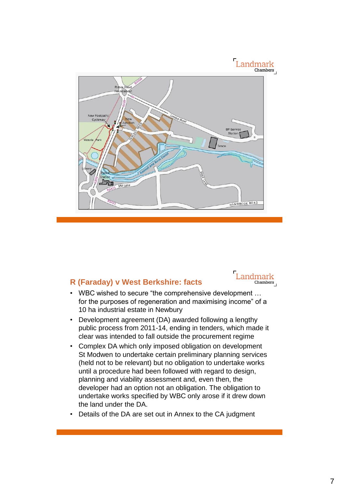

## **R (Faraday) v West Berkshire: facts**



- WBC wished to secure "the comprehensive development … for the purposes of regeneration and maximising income" of a 10 ha industrial estate in Newbury
- Development agreement (DA) awarded following a lengthy public process from 2011-14, ending in tenders, which made it clear was intended to fall outside the procurement regime
- Complex DA which only imposed obligation on development St Modwen to undertake certain preliminary planning services (held not to be relevant) but no obligation to undertake works until a procedure had been followed with regard to design, planning and viability assessment and, even then, the developer had an option not an obligation. The obligation to undertake works specified by WBC only arose if it drew down the land under the DA.
- Details of the DA are set out in Annex to the CA judgment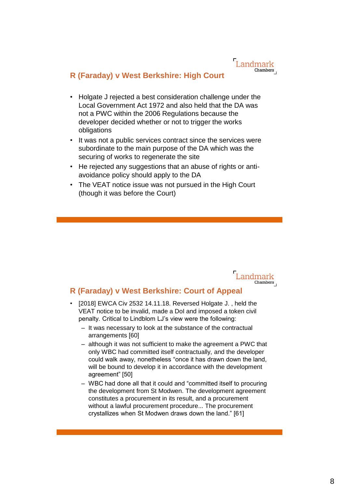### **R (Faraday) v West Berkshire: High Court**

- Holgate J rejected a best consideration challenge under the Local Government Act 1972 and also held that the DA was not a PWC within the 2006 Regulations because the developer decided whether or not to trigger the works obligations
- It was not a public services contract since the services were subordinate to the main purpose of the DA which was the securing of works to regenerate the site
- He rejected any suggestions that an abuse of rights or antiavoidance policy should apply to the DA
- The VEAT notice issue was not pursued in the High Court (though it was before the Court)



### **R (Faraday) v West Berkshire: Court of Appeal**

- [2018] EWCA Civ 2532 14.11.18. Reversed Holgate J. , held the VEAT notice to be invalid, made a DoI and imposed a token civil penalty. Critical to Lindblom LJ's view were the following:
	- It was necessary to look at the substance of the contractual arrangements [60]
	- although it was not sufficient to make the agreement a PWC that only WBC had committed itself contractually, and the developer could walk away, nonetheless "once it has drawn down the land, will be bound to develop it in accordance with the development agreement" [50]
	- WBC had done all that it could and "committed itself to procuring the development from St Modwen. The development agreement constitutes a procurement in its result, and a procurement without a lawful procurement procedure... The procurement crystallizes when St Modwen draws down the land." [61]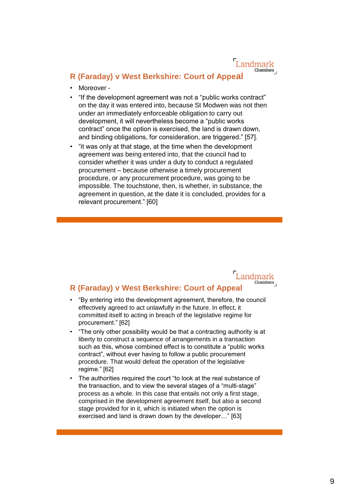#### **R (Faraday) v West Berkshire: Court of Appeal**

- Moreover -
- "If the development agreement was not a "public works contract" on the day it was entered into, because St Modwen was not then under an immediately enforceable obligation to carry out development, it will nevertheless become a "public works contract" once the option is exercised, the land is drawn down, and binding obligations, for consideration, are triggered." [57].
- "it was only at that stage, at the time when the development agreement was being entered into, that the council had to consider whether it was under a duty to conduct a regulated procurement – because otherwise a timely procurement procedure, or any procurement procedure, was going to be impossible. The touchstone, then, is whether, in substance, the agreement in question, at the date it is concluded, provides for a relevant procurement." [60]

#### Landmark Chambers **R (Faraday) v West Berkshire: Court of Appeal**

- "By entering into the development agreement, therefore, the council effectively agreed to act unlawfully in the future. In effect, it committed itself to acting in breach of the legislative regime for procurement." [62]
- "The only other possibility would be that a contracting authority is at liberty to construct a sequence of arrangements in a transaction such as this, whose combined effect is to constitute a "public works contract", without ever having to follow a public procurement procedure. That would defeat the operation of the legislative regime." [62]
- The authorities required the court "to look at the real substance of the transaction, and to view the several stages of a "multi-stage" process as a whole. In this case that entails not only a first stage, comprised in the development agreement itself, but also a second stage provided for in it, which is initiated when the option is exercised and land is drawn down by the developer…" [63]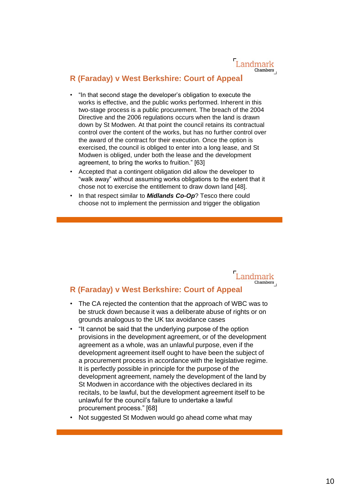## **R (Faraday) v West Berkshire: Court of Appeal**

- "In that second stage the developer's obligation to execute the works is effective, and the public works performed. Inherent in this two-stage process is a public procurement. The breach of the 2004 Directive and the 2006 regulations occurs when the land is drawn down by St Modwen. At that point the council retains its contractual control over the content of the works, but has no further control over the award of the contract for their execution. Once the option is exercised, the council is obliged to enter into a long lease, and St Modwen is obliged, under both the lease and the development agreement, to bring the works to fruition." [63]
- Accepted that a contingent obligation did allow the developer to "walk away" without assuming works obligations to the extent that it chose not to exercise the entitlement to draw down land [48].
- In that respect similar to *Midlands Co-Op*? Tesco there could choose not to implement the permission and trigger the obligation



# • The CA rejected the contention that the approach of WBC was to be struck down because it was a deliberate abuse of rights or on

- grounds analogous to the UK tax avoidance cases • "It cannot be said that the underlying purpose of the option provisions in the development agreement, or of the development agreement as a whole, was an unlawful purpose, even if the development agreement itself ought to have been the subject of a procurement process in accordance with the legislative regime. It is perfectly possible in principle for the purpose of the development agreement, namely the development of the land by St Modwen in accordance with the objectives declared in its recitals, to be lawful, but the development agreement itself to be unlawful for the council's failure to undertake a lawful procurement process." [68]
- Not suggested St Modwen would go ahead come what may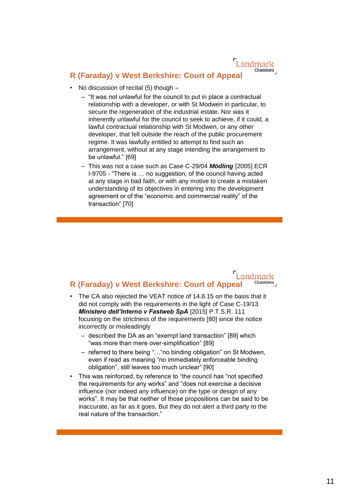#### **R (Faraday) v West Berkshire: Court of Appeal**

- No discussion of recital (5) though
	- "It was not unlawful for the council to put in place a contractual relationship with a developer, or with St Modwen in particular, to secure the regeneration of the industrial estate. Nor was it inherently unlawful for the council to seek to achieve, if it could, a lawful contractual relationship with St Modwen, or any other developer, that fell outside the reach of the public procurement regime. It was lawfully entitled to attempt to find such an arrangement, without at any stage intending the arrangement to be unlawful." [69]
	- This was not a case such as Case C-29/04 *Mödling* [2005] ECR I-9705 - "There is … no suggestion, of the council having acted at any stage in bad faith, or with any motive to create a mistaken understanding of its objectives in entering into the development agreement or of the "economic and commercial reality" of the transaction" [70]

#### Landmark Chambers **R (Faraday) v West Berkshire: Court of Appeal**

- The CA also rejected the VEAT notice of 14.8.15 on the basis that it did not comply with the requirements in the light of Case C-19/13 *Ministero dell'Interno v Fastweb SpA* [2015] P.T.S.R. 111 focusing on the strictness of the requirements [80] since the notice incorrectly or misleadingly
	- described the DA as an "exempt land transaction" [89] which "was more than mere over-simplification" [89]
	- referred to there being "…"no binding obligation" on St Modwen, even if read as meaning "no immediately enforceable binding obligation", still leaves too much unclear" [90]
- This was reinforced, by reference to "the council has "not specified the requirements for any works" and "does not exercise a decisive influence (nor indeed any influence) on the type or design of any works". It may be that neither of those propositions can be said to be inaccurate, as far as it goes. But they do not alert a third party to the real nature of the transaction."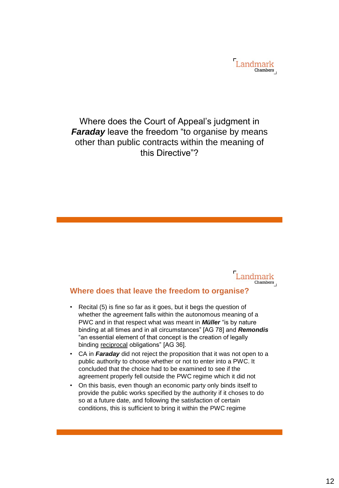

# Where does the Court of Appeal's judgment in *Faraday* leave the freedom "to organise by means other than public contracts within the meaning of this Directive"?



#### **Where does that leave the freedom to organise?**

- Recital (5) is fine so far as it goes, but it begs the question of whether the agreement falls within the autonomous meaning of a PWC and in that respect what was meant in *Müller* "is by nature binding at all times and in all circumstances" [AG 78] and *Remondis* "an essential element of that concept is the creation of legally binding reciprocal obligations" [AG 36].
- CA in *Faraday* did not reject the proposition that it was not open to a public authority to choose whether or not to enter into a PWC. It concluded that the choice had to be examined to see if the agreement properly fell outside the PWC regime which it did not
- On this basis, even though an economic party only binds itself to provide the public works specified by the authority if it choses to do so at a future date, and following the satisfaction of certain conditions, this is sufficient to bring it within the PWC regime